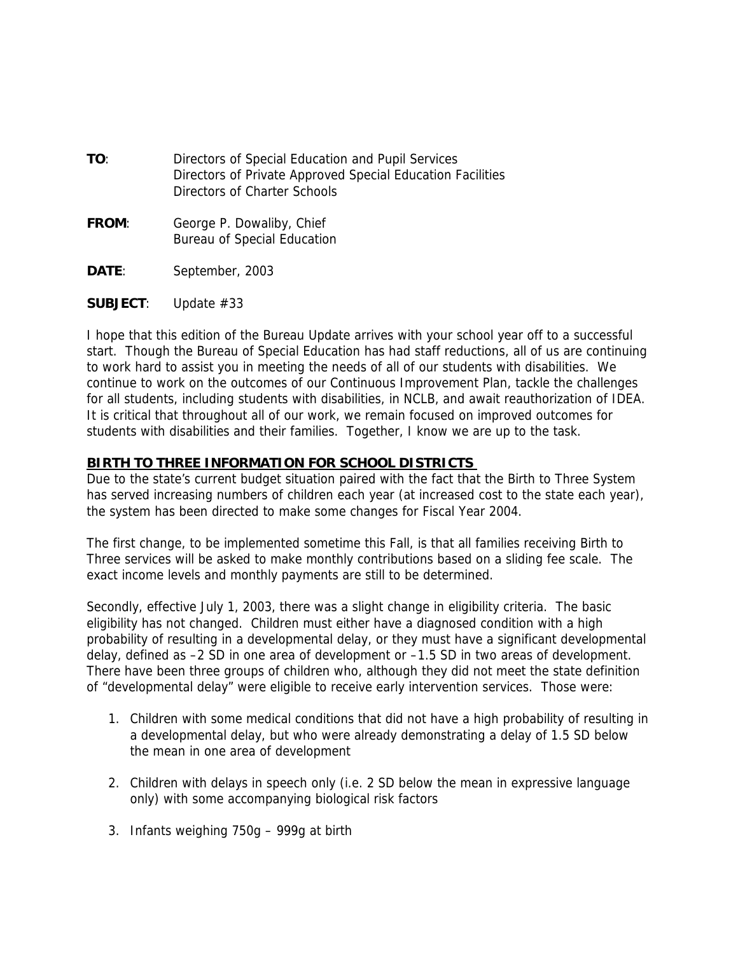| TO: | Directors of Special Education and Pupil Services          |
|-----|------------------------------------------------------------|
|     | Directors of Private Approved Special Education Facilities |
|     | Directors of Charter Schools                               |

- **FROM**: George P. Dowaliby, Chief Bureau of Special Education
- **DATE**: September, 2003
- **SUBJECT**: Update #33

I hope that this edition of the Bureau Update arrives with your school year off to a successful start. Though the Bureau of Special Education has had staff reductions, all of us are continuing to work hard to assist you in meeting the needs of all of our students with disabilities. We continue to work on the outcomes of our Continuous Improvement Plan, tackle the challenges for all students, including students with disabilities, in NCLB, and await reauthorization of IDEA. It is critical that throughout all of our work, we remain focused on improved outcomes for students with disabilities and their families. Together, I know we are up to the task.

#### **BIRTH TO THREE INFORMATION FOR SCHOOL DISTRICTS**

Due to the state's current budget situation paired with the fact that the Birth to Three System has served increasing numbers of children each year (at increased cost to the state each year), the system has been directed to make some changes for Fiscal Year 2004.

The first change, to be implemented sometime this Fall, is that all families receiving Birth to Three services will be asked to make monthly contributions based on a sliding fee scale. The exact income levels and monthly payments are still to be determined.

Secondly, effective July 1, 2003, there was a slight change in eligibility criteria. The basic eligibility has not changed. Children must either have a diagnosed condition with a high probability of resulting in a developmental delay, or they must have a significant developmental delay, defined as –2 SD in one area of development or –1.5 SD in two areas of development. There have been three groups of children who, although they did not meet the state definition of "developmental delay" were eligible to receive early intervention services. Those were:

- 1. Children with some medical conditions that did not have a high probability of resulting in a developmental delay, but who were already demonstrating a delay of 1.5 SD below the mean in one area of development
- 2. Children with delays in speech only (i.e. 2 SD below the mean in expressive language only) with some accompanying biological risk factors
- 3. Infants weighing 750g 999g at birth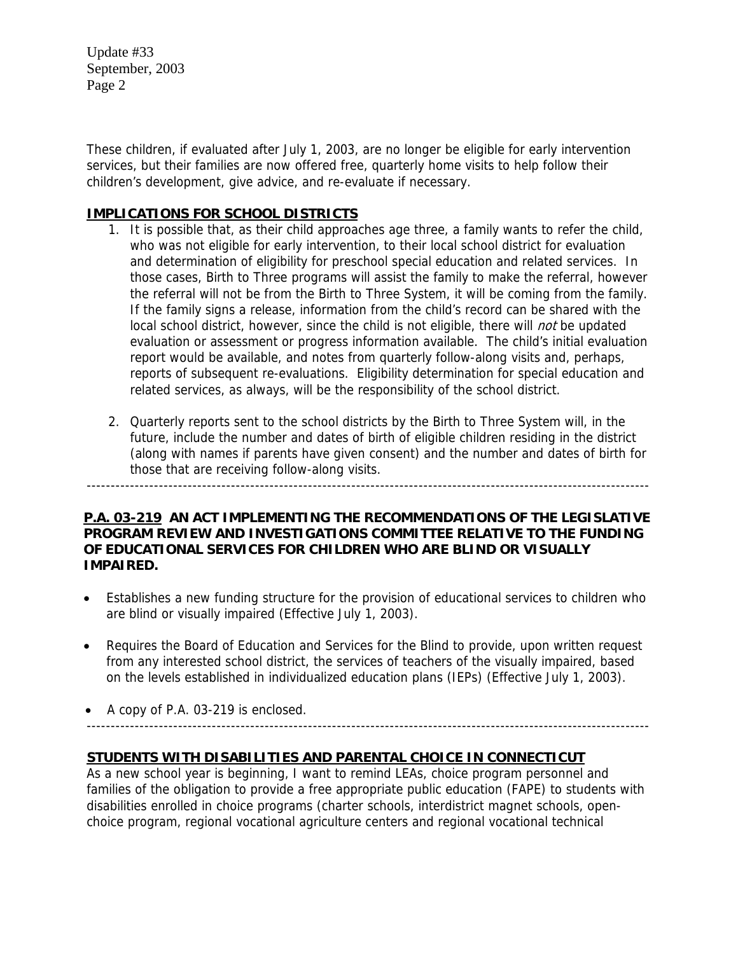These children, if evaluated after July 1, 2003, are no longer be eligible for early intervention services, but their families are now offered free, quarterly home visits to help follow their children's development, give advice, and re-evaluate if necessary.

#### **IMPLICATIONS FOR SCHOOL DISTRICTS**

- 1. It is possible that, as their child approaches age three, a family wants to refer the child, who was not eligible for early intervention, to their local school district for evaluation and determination of eligibility for preschool special education and related services. In those cases, Birth to Three programs will assist the family to make the referral, however the referral will not be from the Birth to Three System, it will be coming from the family. If the family signs a release, information from the child's record can be shared with the local school district, however, since the child is not eligible, there will *not* be updated evaluation or assessment or progress information available. The child's initial evaluation report would be available, and notes from quarterly follow-along visits and, perhaps, reports of subsequent re-evaluations. Eligibility determination for special education and related services, as always, will be the responsibility of the school district.
- 2. Quarterly reports sent to the school districts by the Birth to Three System will, in the future, include the number and dates of birth of eligible children residing in the district (along with names if parents have given consent) and the number and dates of birth for those that are receiving follow-along visits.

### **P.A. 03-219 AN ACT IMPLEMENTING THE RECOMMENDATIONS OF THE LEGISLATIVE PROGRAM REVIEW AND INVESTIGATIONS COMMITTEE RELATIVE TO THE FUNDING OF EDUCATIONAL SERVICES FOR CHILDREN WHO ARE BLIND OR VISUALLY IMPAIRED.**

---------------------------------------------------------------------------------------------------------------------

- Establishes a new funding structure for the provision of educational services to children who are blind or visually impaired (Effective July 1, 2003).
- Requires the Board of Education and Services for the Blind to provide, upon written request from any interested school district, the services of teachers of the visually impaired, based on the levels established in individualized education plans (IEPs) (Effective July 1, 2003).
- A copy of P.A. 03-219 is enclosed. ---------------------------------------------------------------------------------------------------------------------

# **STUDENTS WITH DISABILITIES AND PARENTAL CHOICE IN CONNECTICUT**

As a new school year is beginning, I want to remind LEAs, choice program personnel and families of the obligation to provide a free appropriate public education (FAPE) to students with disabilities enrolled in choice programs (charter schools, interdistrict magnet schools, openchoice program, regional vocational agriculture centers and regional vocational technical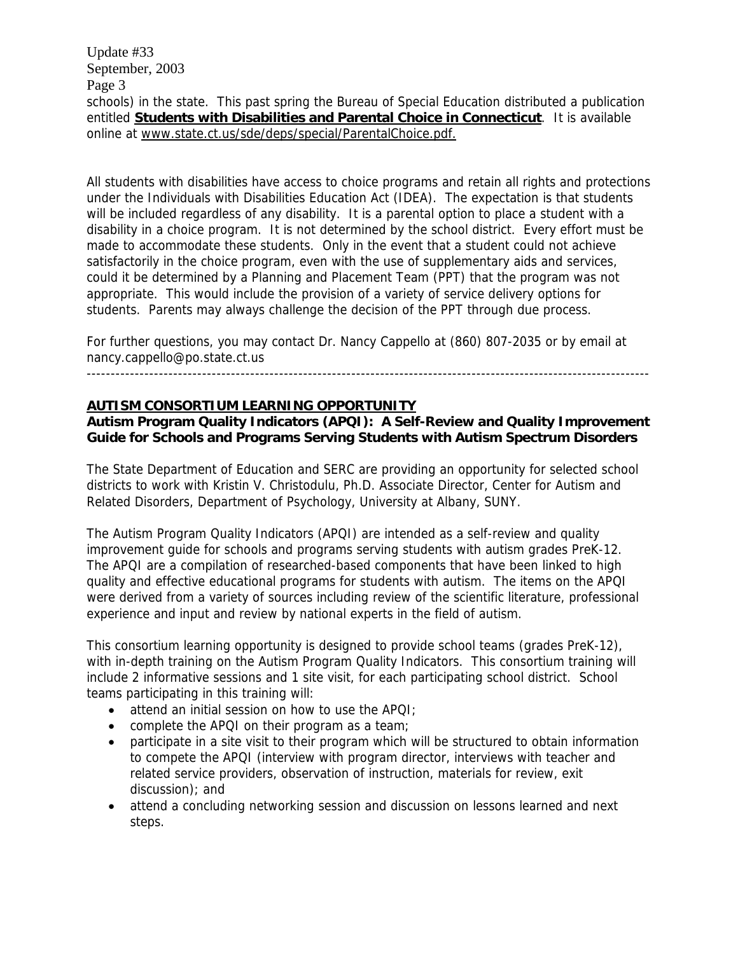Update #33 September, 2003 Page 3 schools) in the state. This past spring the Bureau of Special Education distributed a publication entitled **Students with Disabilities and Parental Choice in Connecticut**. It is available online at www.state.ct.us/sde/deps/special/ParentalChoice.pdf.

All students with disabilities have access to choice programs and retain all rights and protections under the Individuals with Disabilities Education Act (IDEA). The expectation is that students will be included regardless of any disability. It is a parental option to place a student with a disability in a choice program. It is not determined by the school district. Every effort must be made to accommodate these students. Only in the event that a student could not achieve satisfactorily in the choice program, even with the use of supplementary aids and services, could it be determined by a Planning and Placement Team (PPT) that the program was not appropriate. This would include the provision of a variety of service delivery options for students. Parents may always challenge the decision of the PPT through due process.

For further questions, you may contact Dr. Nancy Cappello at (860) 807-2035 or by email at nancy.cappello@po.state.ct.us

---------------------------------------------------------------------------------------------------------------------

#### **AUTISM CONSORTIUM LEARNING OPPORTUNITY**

**Autism Program Quality Indicators (APQI): A Self-Review and Quality Improvement Guide for Schools and Programs Serving Students with Autism Spectrum Disorders** 

The State Department of Education and SERC are providing an opportunity for selected school districts to work with Kristin V. Christodulu, Ph.D. Associate Director, Center for Autism and Related Disorders, Department of Psychology, University at Albany, SUNY.

The Autism Program Quality Indicators (APQI) are intended as a self-review and quality improvement guide for schools and programs serving students with autism grades PreK-12. The APQI are a compilation of researched-based components that have been linked to high quality and effective educational programs for students with autism. The items on the APQI were derived from a variety of sources including review of the scientific literature, professional experience and input and review by national experts in the field of autism.

This consortium learning opportunity is designed to provide school teams (grades PreK-12), with in-depth training on the Autism Program Quality Indicators. This consortium training will include 2 informative sessions and 1 site visit, for each participating school district. School teams participating in this training will:

- attend an initial session on how to use the APQI;
- complete the APQI on their program as a team;
- participate in a site visit to their program which will be structured to obtain information to compete the APQI (interview with program director, interviews with teacher and related service providers, observation of instruction, materials for review, exit discussion); and
- attend a concluding networking session and discussion on lessons learned and next steps.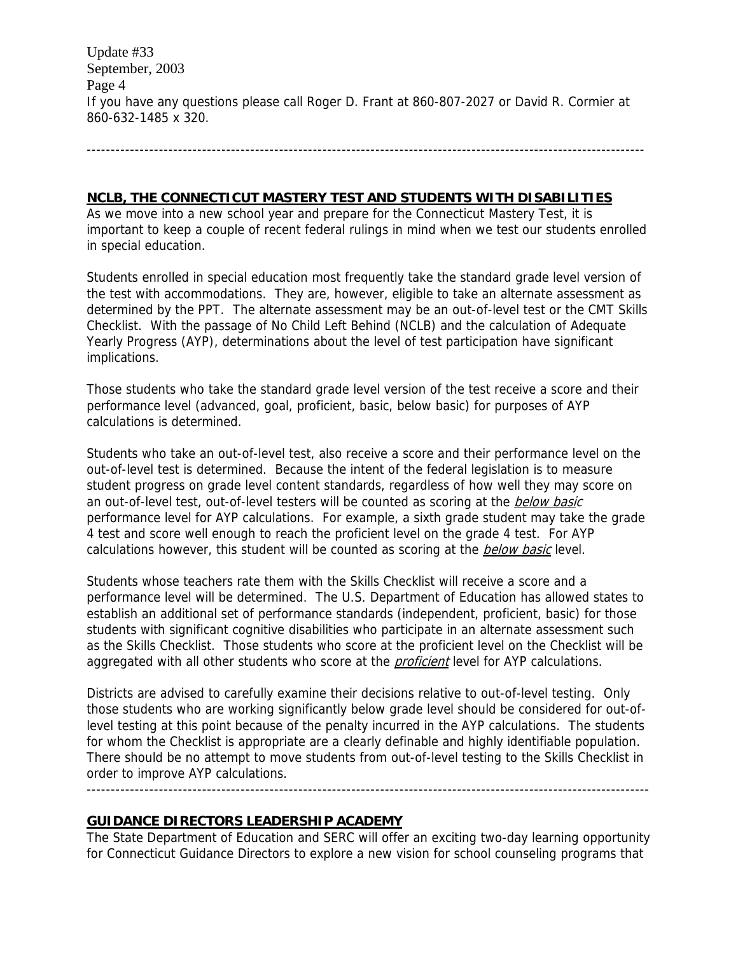Update #33 September, 2003 Page 4 If you have any questions please call Roger D. Frant at 860-807-2027 or David R. Cormier at 860-632-1485 x 320.

--------------------------------------------------------------------------------------------------------------------

#### **NCLB, THE CONNECTICUT MASTERY TEST AND STUDENTS WITH DISABILITIES**

As we move into a new school year and prepare for the Connecticut Mastery Test, it is important to keep a couple of recent federal rulings in mind when we test our students enrolled in special education.

Students enrolled in special education most frequently take the standard grade level version of the test with accommodations. They are, however, eligible to take an alternate assessment as determined by the PPT. The alternate assessment may be an out-of-level test or the CMT Skills Checklist. With the passage of No Child Left Behind (NCLB) and the calculation of Adequate Yearly Progress (AYP), determinations about the level of test participation have significant implications.

Those students who take the standard grade level version of the test receive a score and their performance level (advanced, goal, proficient, basic, below basic) for purposes of AYP calculations is determined.

Students who take an out-of-level test, also receive a score and their performance level on the out-of-level test is determined. Because the intent of the federal legislation is to measure student progress on grade level content standards, regardless of how well they may score on an out-of-level test, out-of-level testers will be counted as scoring at the below basic performance level for AYP calculations. For example, a sixth grade student may take the grade 4 test and score well enough to reach the proficient level on the grade 4 test. For AYP calculations however, this student will be counted as scoring at the **below basic** level.

Students whose teachers rate them with the Skills Checklist will receive a score and a performance level will be determined. The U.S. Department of Education has allowed states to establish an additional set of performance standards (independent, proficient, basic) for those students with significant cognitive disabilities who participate in an alternate assessment such as the Skills Checklist. Those students who score at the proficient level on the Checklist will be aggregated with all other students who score at the *proficient* level for AYP calculations.

Districts are advised to carefully examine their decisions relative to out-of-level testing. Only those students who are working significantly below grade level should be considered for out-oflevel testing at this point because of the penalty incurred in the AYP calculations. The students for whom the Checklist is appropriate are a clearly definable and highly identifiable population. There should be no attempt to move students from out-of-level testing to the Skills Checklist in order to improve AYP calculations.

---------------------------------------------------------------------------------------------------------------------

#### **GUIDANCE DIRECTORS LEADERSHIP ACADEMY**

The State Department of Education and SERC will offer an exciting two-day learning opportunity for Connecticut Guidance Directors to explore a new vision for school counseling programs that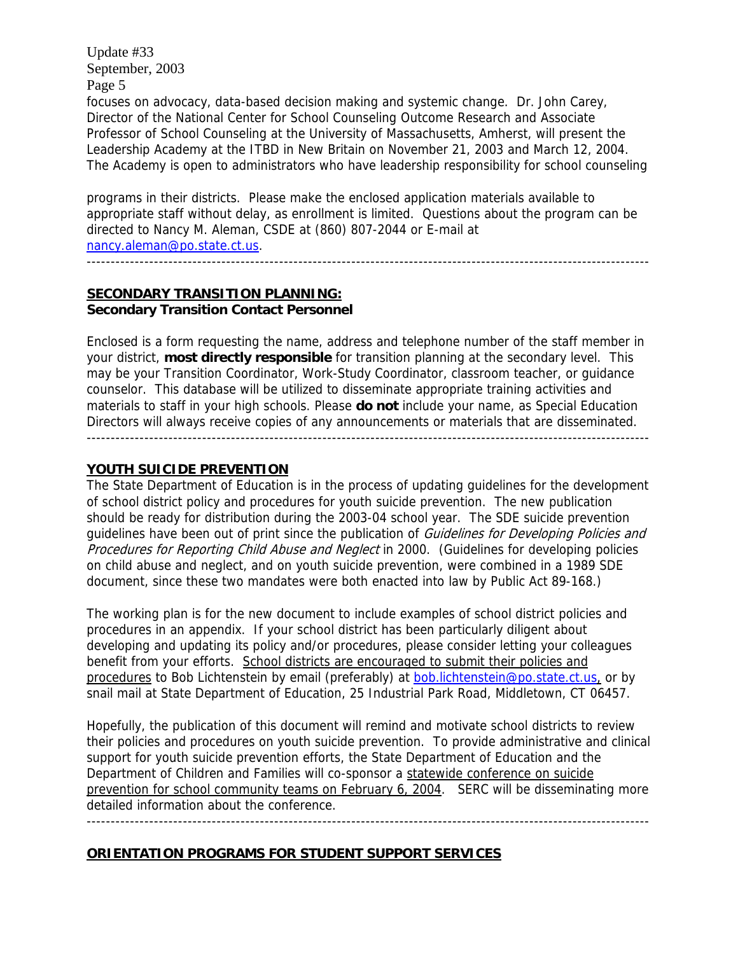Update #33 September, 2003 Page 5 focuses on advocacy, data-based decision making and systemic change. Dr. John Carey, Director of the National Center for School Counseling Outcome Research and Associate Professor of School Counseling at the University of Massachusetts, Amherst, will present the Leadership Academy at the ITBD in New Britain on November 21, 2003 and March 12, 2004. The Academy is open to administrators who have leadership responsibility for school counseling

programs in their districts. Please make the enclosed application materials available to appropriate staff without delay, as enrollment is limited. Questions about the program can be directed to Nancy M. Aleman, CSDE at (860) 807-2044 or E-mail at [nancy.aleman@po.state.ct.us.](mailto:nancy.aleman@po.state.ct.us)

---------------------------------------------------------------------------------------------------------------------

**SECONDARY TRANSITION PLANNING: Secondary Transition Contact Personnel** 

Enclosed is a form requesting the name, address and telephone number of the staff member in your district, **most directly responsible** for transition planning at the secondary level. This may be your Transition Coordinator, Work-Study Coordinator, classroom teacher, or guidance counselor. This database will be utilized to disseminate appropriate training activities and materials to staff in your high schools. Please **do not** include your name, as Special Education Directors will always receive copies of any announcements or materials that are disseminated. ---------------------------------------------------------------------------------------------------------------------

#### **YOUTH SUICIDE PREVENTION**

The State Department of Education is in the process of updating guidelines for the development of school district policy and procedures for youth suicide prevention. The new publication should be ready for distribution during the 2003-04 school year. The SDE suicide prevention guidelines have been out of print since the publication of *Guidelines for Developing Policies and* Procedures for Reporting Child Abuse and Neglect in 2000. (Guidelines for developing policies on child abuse and neglect, and on youth suicide prevention, were combined in a 1989 SDE document, since these two mandates were both enacted into law by Public Act 89-168.)

The working plan is for the new document to include examples of school district policies and procedures in an appendix. If your school district has been particularly diligent about developing and updating its policy and/or procedures, please consider letting your colleagues benefit from your efforts. School districts are encouraged to submit their policies and procedures to Bob Lichtenstein by email (preferably) at bob.lichtenstein@po.state.ct.us, or by snail mail at State Department of Education, 25 Industrial Park Road, Middletown, CT 06457.

Hopefully, the publication of this document will remind and motivate school districts to review their policies and procedures on youth suicide prevention. To provide administrative and clinical support for youth suicide prevention efforts, the State Department of Education and the Department of Children and Families will co-sponsor a statewide conference on suicide prevention for school community teams on February 6, 2004. SERC will be disseminating more detailed information about the conference.

---------------------------------------------------------------------------------------------------------------------

#### **ORIENTATION PROGRAMS FOR STUDENT SUPPORT SERVICES**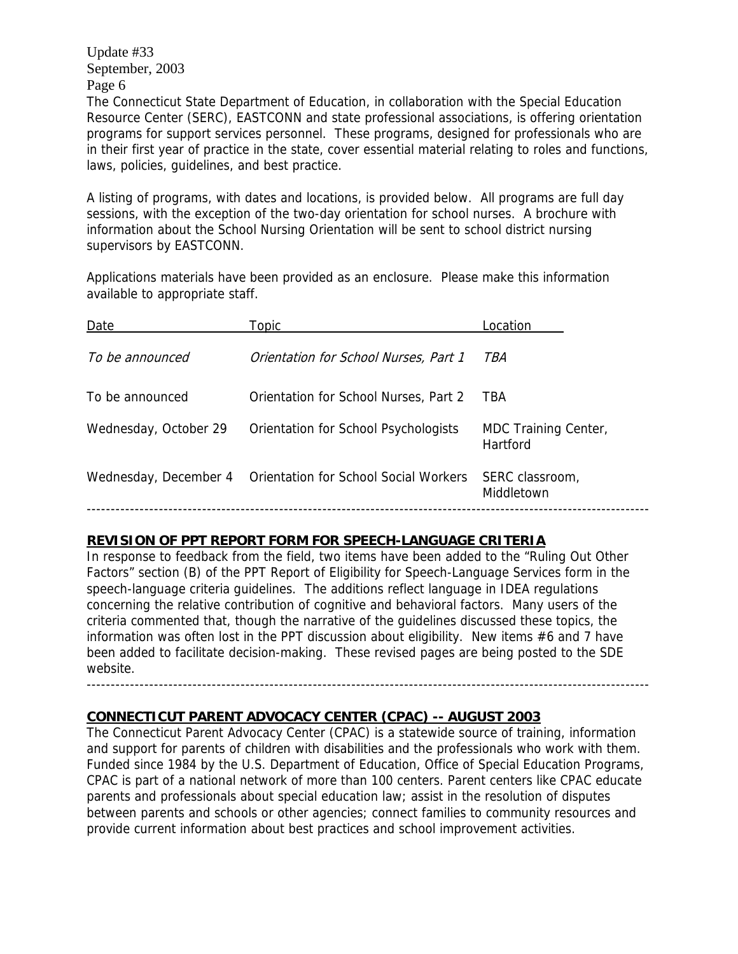The Connecticut State Department of Education, in collaboration with the Special Education Resource Center (SERC), EASTCONN and state professional associations, is offering orientation programs for support services personnel. These programs, designed for professionals who are in their first year of practice in the state, cover essential material relating to roles and functions, laws, policies, guidelines, and best practice.

A listing of programs, with dates and locations, is provided below. All programs are full day sessions, with the exception of the two-day orientation for school nurses. A brochure with information about the School Nursing Orientation will be sent to school district nursing supervisors by EASTCONN.

Applications materials have been provided as an enclosure. Please make this information available to appropriate staff.

| Date                  | Topic                                                       | Location                         |
|-----------------------|-------------------------------------------------------------|----------------------------------|
| To be announced       | Orientation for School Nurses, Part 1                       | TBA                              |
| To be announced       | Orientation for School Nurses, Part 2                       | TBA                              |
| Wednesday, October 29 | Orientation for School Psychologists                        | MDC Training Center,<br>Hartford |
|                       | Wednesday, December 4 Orientation for School Social Workers | SERC classroom,<br>Middletown    |
|                       |                                                             |                                  |

#### **REVISION OF PPT REPORT FORM FOR SPEECH-LANGUAGE CRITERIA**

In response to feedback from the field, two items have been added to the "Ruling Out Other Factors" section (B) of the PPT Report of Eligibility for Speech-Language Services form in the speech-language criteria guidelines. The additions reflect language in IDEA regulations concerning the relative contribution of cognitive and behavioral factors. Many users of the criteria commented that, though the narrative of the guidelines discussed these topics, the information was often lost in the PPT discussion about eligibility. New items #6 and 7 have been added to facilitate decision-making. These revised pages are being posted to the SDE website.

**CONNECTICUT PARENT ADVOCACY CENTER (CPAC) -- AUGUST 2003**

The Connecticut Parent Advocacy Center (CPAC) is a statewide source of training, information and support for parents of children with disabilities and the professionals who work with them. Funded since 1984 by the U.S. Department of Education, Office of Special Education Programs, CPAC is part of a national network of more than 100 centers. Parent centers like CPAC educate parents and professionals about special education law; assist in the resolution of disputes between parents and schools or other agencies; connect families to community resources and provide current information about best practices and school improvement activities.

---------------------------------------------------------------------------------------------------------------------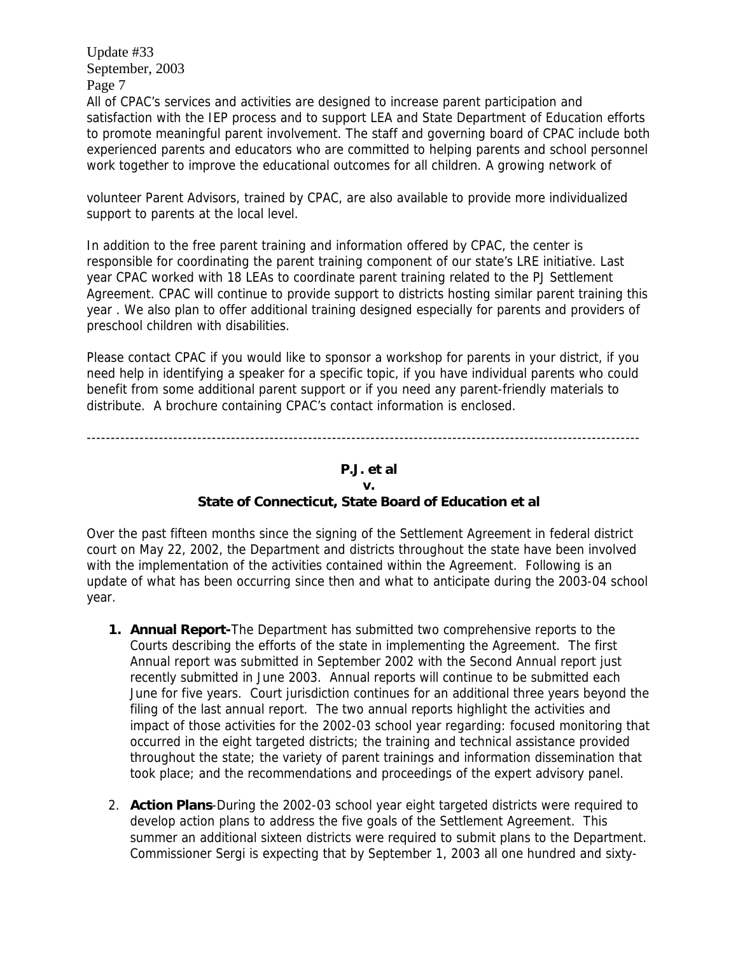All of CPAC's services and activities are designed to increase parent participation and satisfaction with the IEP process and to support LEA and State Department of Education efforts to promote meaningful parent involvement. The staff and governing board of CPAC include both experienced parents and educators who are committed to helping parents and school personnel work together to improve the educational outcomes for all children. A growing network of

volunteer Parent Advisors, trained by CPAC, are also available to provide more individualized support to parents at the local level.

In addition to the free parent training and information offered by CPAC, the center is responsible for coordinating the parent training component of our state's LRE initiative. Last year CPAC worked with 18 LEAs to coordinate parent training related to the PJ Settlement Agreement. CPAC will continue to provide support to districts hosting similar parent training this year . We also plan to offer additional training designed especially for parents and providers of preschool children with disabilities.

Please contact CPAC if you would like to sponsor a workshop for parents in your district, if you need help in identifying a speaker for a specific topic, if you have individual parents who could benefit from some additional parent support or if you need any parent-friendly materials to distribute. A brochure containing CPAC's contact information is enclosed.

## -------------------------------------------------------------------------------------------------------------------

#### **P.J. et al v.**

#### **State of Connecticut, State Board of Education et al**

Over the past fifteen months since the signing of the Settlement Agreement in federal district court on May 22, 2002, the Department and districts throughout the state have been involved with the implementation of the activities contained within the Agreement. Following is an update of what has been occurring since then and what to anticipate during the 2003-04 school year.

- **1. Annual Report-**The Department has submitted two comprehensive reports to the Courts describing the efforts of the state in implementing the Agreement. The first Annual report was submitted in September 2002 with the Second Annual report just recently submitted in June 2003. Annual reports will continue to be submitted each June for five years. Court jurisdiction continues for an additional three years beyond the filing of the last annual report. The two annual reports highlight the activities and impact of those activities for the 2002-03 school year regarding: focused monitoring that occurred in the eight targeted districts; the training and technical assistance provided throughout the state; the variety of parent trainings and information dissemination that took place; and the recommendations and proceedings of the expert advisory panel.
- 2. **Action Plans**-During the 2002-03 school year eight targeted districts were required to develop action plans to address the five goals of the Settlement Agreement. This summer an additional sixteen districts were required to submit plans to the Department. Commissioner Sergi is expecting that by September 1, 2003 all one hundred and sixty-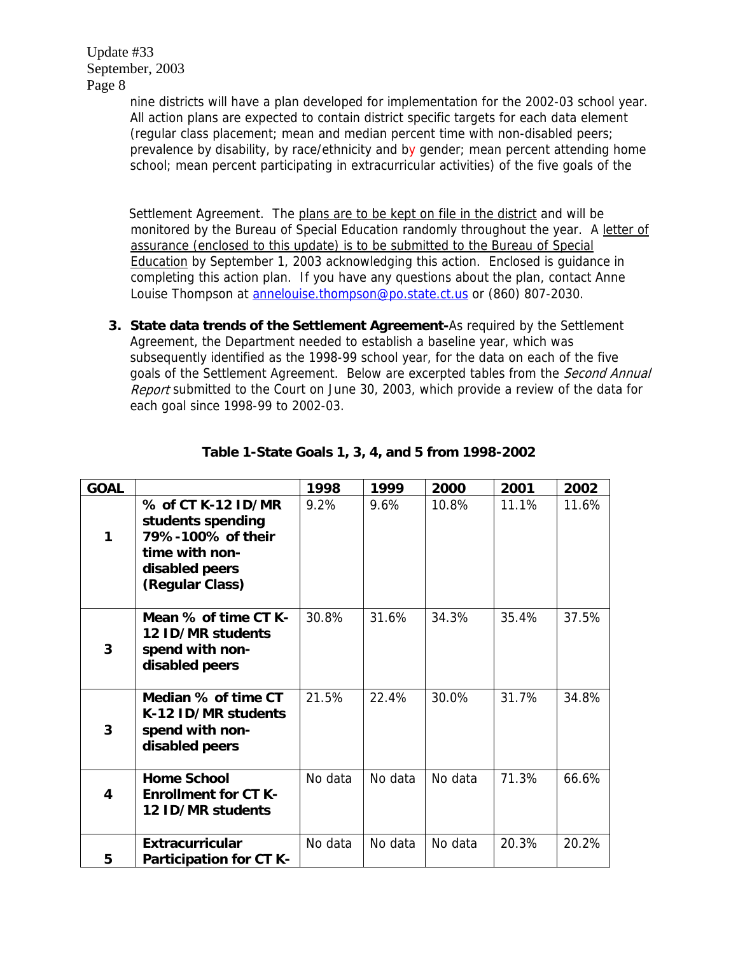> nine districts will have a plan developed for implementation for the 2002-03 school year. All action plans are expected to contain district specific targets for each data element (regular class placement; mean and median percent time with non-disabled peers; prevalence by disability, by race/ethnicity and by gender; mean percent attending home school; mean percent participating in extracurricular activities) of the five goals of the

> Settlement Agreement. The plans are to be kept on file in the district and will be monitored by the Bureau of Special Education randomly throughout the year. A letter of assurance (enclosed to this update) is to be submitted to the Bureau of Special Education by September 1, 2003 acknowledging this action. Enclosed is guidance in completing this action plan. If you have any questions about the plan, contact Anne Louise Thompson at [annelouise.thompson@po.state.ct.us](mailto:annelouise.thompson@po.state.ct.us) or (860) 807-2030.

**3. State data trends of the Settlement Agreement-**As required by the Settlement Agreement, the Department needed to establish a baseline year, which was subsequently identified as the 1998-99 school year, for the data on each of the five goals of the Settlement Agreement. Below are excerpted tables from the Second Annual Report submitted to the Court on June 30, 2003, which provide a review of the data for each goal since 1998-99 to 2002-03.

| <b>GOAL</b> |                                                                                                                     | 1998    | 1999    | 2000    | 2001  | 2002  |
|-------------|---------------------------------------------------------------------------------------------------------------------|---------|---------|---------|-------|-------|
| 1           | % of CT K-12 ID/MR<br>students spending<br>79%-100% of their<br>time with non-<br>disabled peers<br>(Regular Class) | 9.2%    | 9.6%    | 10.8%   | 11.1% | 11.6% |
| 3           | Mean % of time CT K-<br>12 ID/MR students<br>spend with non-<br>disabled peers                                      | 30.8%   | 31.6%   | 34.3%   | 35.4% | 37.5% |
| 3           | Median % of time CT<br>K-12 ID/MR students<br>spend with non-<br>disabled peers                                     | 21.5%   | 22.4%   | 30.0%   | 31.7% | 34.8% |
| 4           | <b>Home School</b><br><b>Enrollment for CT K-</b><br>12 ID/MR students                                              | No data | No data | No data | 71.3% | 66.6% |
| 5           | <b>Extracurricular</b><br><b>Participation for CT K-</b>                                                            | No data | No data | No data | 20.3% | 20.2% |

#### **Table 1-State Goals 1, 3, 4, and 5 from 1998-2002**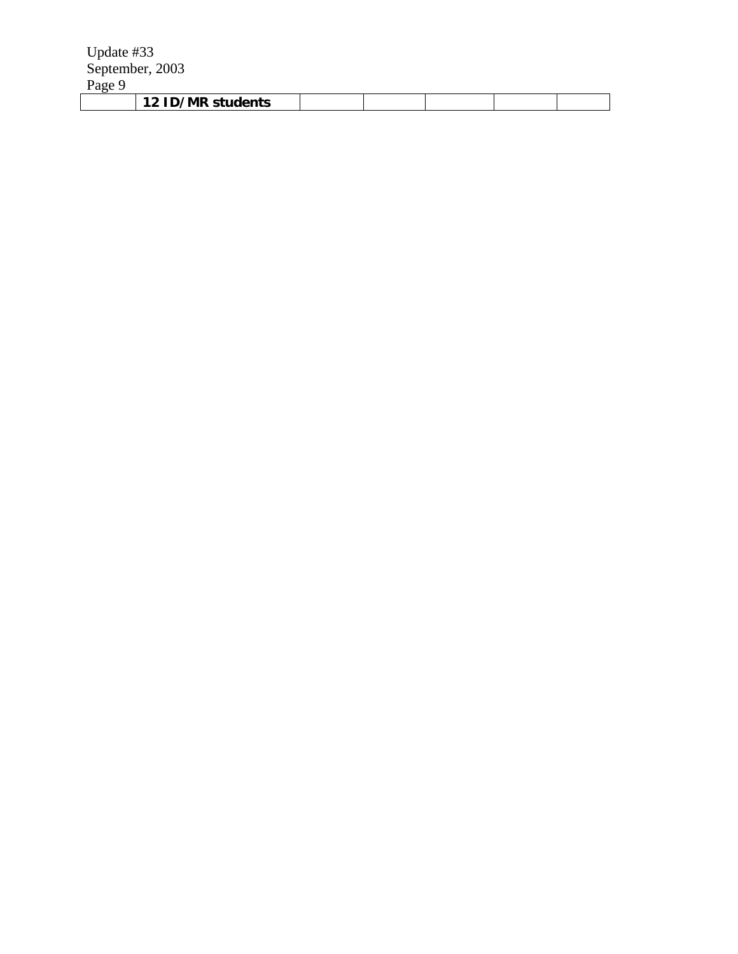| <b>12 ID/MR</b><br>' students |  |  |  |
|-------------------------------|--|--|--|
|                               |  |  |  |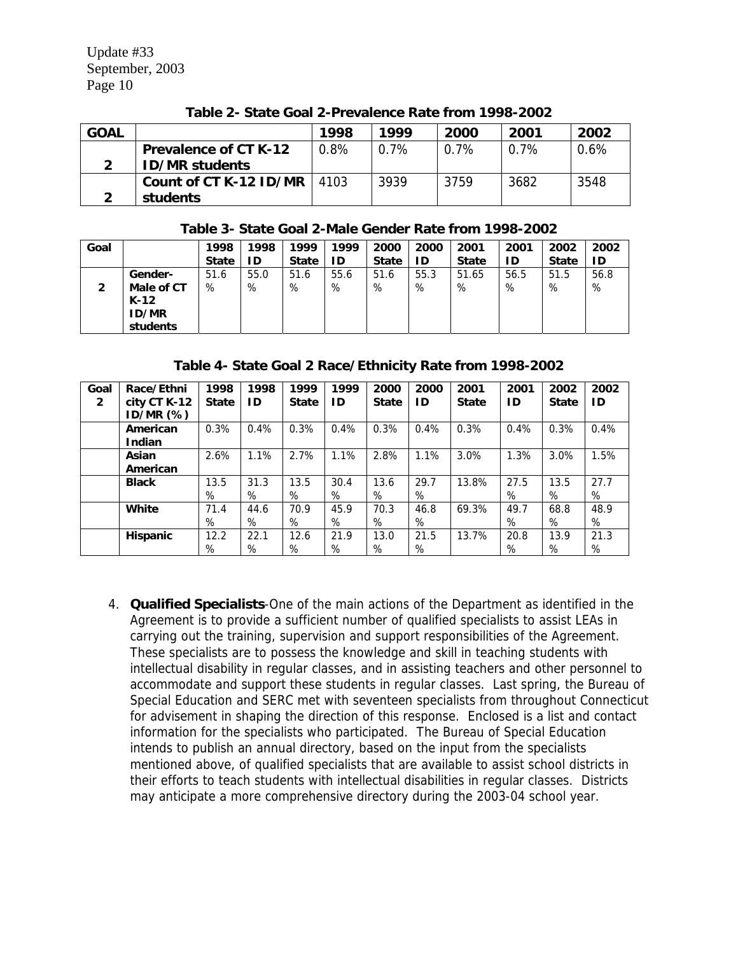| <b>GOAL</b> |                              | 1998 | 1999    | 2000    | 2001    | 2002    |
|-------------|------------------------------|------|---------|---------|---------|---------|
|             | <b>Prevalence of CT K-12</b> | 0.8% | $0.7\%$ | $0.7\%$ | $0.7\%$ | $0.6\%$ |
|             | <b>ID/MR students</b>        |      |         |         |         |         |
|             | Count of CT K-12 ID/MR       | 4103 | 3939    | 3759    | 3682    | 3548    |
|             | students                     |      |         |         |         |         |

**Table 2- State Goal 2-Prevalence Rate from 1998-2002** 

#### **Table 3- State Goal 2-Male Gender Rate from 1998-2002**

| Goal |              | 1998         | 1998 | 1999         | 1999 | 2000         | 2000 | 2001         | 2001 | 2002         | 2002 |
|------|--------------|--------------|------|--------------|------|--------------|------|--------------|------|--------------|------|
|      |              | <b>State</b> | ID   | <b>State</b> | ID   | <b>State</b> | ID   | <b>State</b> | ΙD   | <b>State</b> | ID   |
|      | Gender-      | 51.6         | 55.0 | 51.6         | 55.6 | 51.6         | 55.3 | 51.65        | 56.5 | 51.5         | 56.8 |
| 2    | Male of CT   | %            | %    | %            | %    | %            | %    | %            | %    | %            | %    |
|      | $K-12$       |              |      |              |      |              |      |              |      |              |      |
|      | <b>ID/MR</b> |              |      |              |      |              |      |              |      |              |      |
|      | students     |              |      |              |      |              |      |              |      |              |      |

**Table 4- State Goal 2 Race/Ethnicity Rate from 1998-2002** 

| Goal         | Race/Ethni      | 1998         | 1998 | 1999         | 1999 | 2000         | 2000 | 2001         | 2001 | 2002         | 2002 |
|--------------|-----------------|--------------|------|--------------|------|--------------|------|--------------|------|--------------|------|
| $\mathbf{2}$ | city CT K-12    | <b>State</b> | ID   | <b>State</b> | ID   | <b>State</b> | ID   | <b>State</b> | ID   | <b>State</b> | ID   |
|              | $ID/MR$ $(\%)$  |              |      |              |      |              |      |              |      |              |      |
|              | American        | 0.3%         | 0.4% | 0.3%         | 0.4% | 0.3%         | 0.4% | 0.3%         | 0.4% | 0.3%         | 0.4% |
|              | Indian          |              |      |              |      |              |      |              |      |              |      |
|              | Asian           | 2.6%         | 1.1% | 2.7%         | 1.1% | 2.8%         | 1.1% | 3.0%         | 1.3% | 3.0%         | 1.5% |
|              | American        |              |      |              |      |              |      |              |      |              |      |
|              | <b>Black</b>    | 13.5         | 31.3 | 13.5         | 30.4 | 13.6         | 29.7 | 13.8%        | 27.5 | 13.5         | 27.7 |
|              |                 | %            | %    | %            | %    | %            | %    |              | %    | %            | %    |
|              | <b>White</b>    | 71.4         | 44.6 | 70.9         | 45.9 | 70.3         | 46.8 | 69.3%        | 49.7 | 68.8         | 48.9 |
|              |                 | %            | %    | %            | %    | %            | %    |              | %    | %            | %    |
|              | <b>Hispanic</b> | 12.2         | 22.1 | 12.6         | 21.9 | 13.0         | 21.5 | 13.7%        | 20.8 | 13.9         | 21.3 |
|              |                 | %            | %    | %            | %    | %            | %    |              | %    | %            | %    |

4. **Qualified Specialists**-One of the main actions of the Department as identified in the Agreement is to provide a sufficient number of qualified specialists to assist LEAs in carrying out the training, supervision and support responsibilities of the Agreement. These specialists are to possess the knowledge and skill in teaching students with intellectual disability in regular classes, and in assisting teachers and other personnel to accommodate and support these students in regular classes. Last spring, the Bureau of Special Education and SERC met with seventeen specialists from throughout Connecticut for advisement in shaping the direction of this response. Enclosed is a list and contact information for the specialists who participated. The Bureau of Special Education intends to publish an annual directory, based on the input from the specialists mentioned above, of qualified specialists that are available to assist school districts in their efforts to teach students with intellectual disabilities in regular classes. Districts may anticipate a more comprehensive directory during the 2003-04 school year.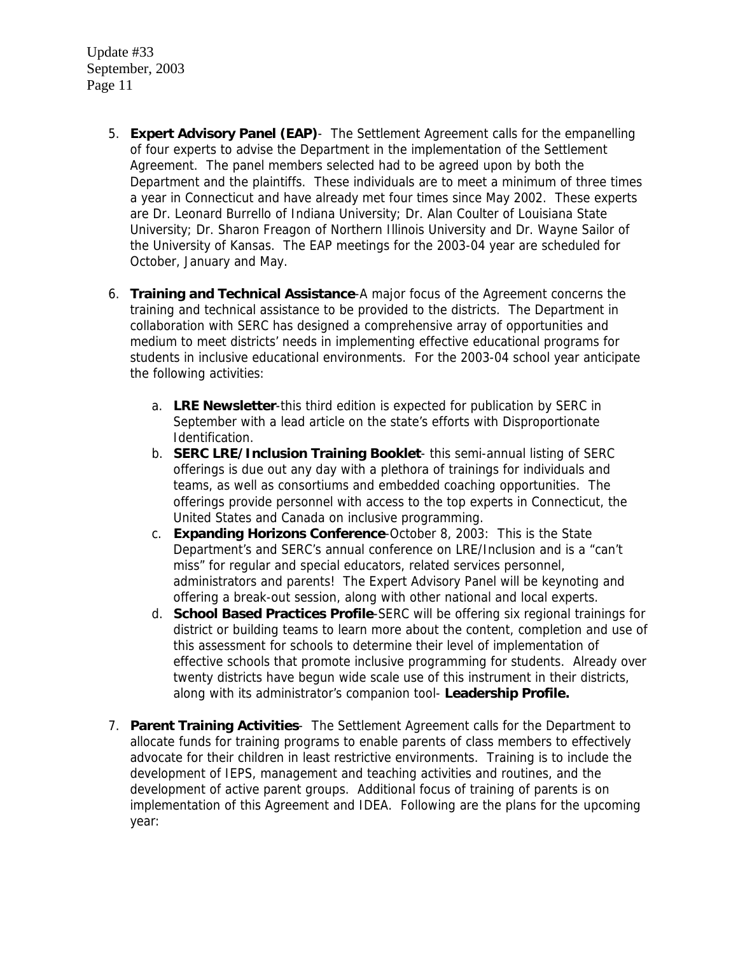- 5. **Expert Advisory Panel (EAP)** The Settlement Agreement calls for the empanelling of four experts to advise the Department in the implementation of the Settlement Agreement. The panel members selected had to be agreed upon by both the Department and the plaintiffs. These individuals are to meet a minimum of three times a year in Connecticut and have already met four times since May 2002. These experts are Dr. Leonard Burrello of Indiana University; Dr. Alan Coulter of Louisiana State University; Dr. Sharon Freagon of Northern Illinois University and Dr. Wayne Sailor of the University of Kansas. The EAP meetings for the 2003-04 year are scheduled for October, January and May.
- 6. **Training and Technical Assistance**-A major focus of the Agreement concerns the training and technical assistance to be provided to the districts. The Department in collaboration with SERC has designed a comprehensive array of opportunities and medium to meet districts' needs in implementing effective educational programs for students in inclusive educational environments. For the 2003-04 school year anticipate the following activities:
	- a. **LRE Newsletter**-this third edition is expected for publication by SERC in September with a lead article on the state's efforts with Disproportionate Identification.
	- b. **SERC LRE/Inclusion Training Booklet** this semi-annual listing of SERC offerings is due out any day with a plethora of trainings for individuals and teams, as well as consortiums and embedded coaching opportunities. The offerings provide personnel with access to the top experts in Connecticut, the United States and Canada on inclusive programming.
	- c. **Expanding Horizons Conference**-October 8, 2003: This is the State Department's and SERC's annual conference on LRE/Inclusion and is a "can't miss" for regular and special educators, related services personnel, administrators and parents! The Expert Advisory Panel will be keynoting and offering a break-out session, along with other national and local experts.
	- d. **School Based Practices Profile**-SERC will be offering six regional trainings for district or building teams to learn more about the content, completion and use of this assessment for schools to determine their level of implementation of effective schools that promote inclusive programming for students. Already over twenty districts have begun wide scale use of this instrument in their districts, along with its administrator's companion tool- **Leadership Profile.**
- 7. **Parent Training Activities** The Settlement Agreement calls for the Department to allocate funds for training programs to enable parents of class members to effectively advocate for their children in least restrictive environments. Training is to include the development of IEPS, management and teaching activities and routines, and the development of active parent groups. Additional focus of training of parents is on implementation of this Agreement and IDEA. Following are the plans for the upcoming year: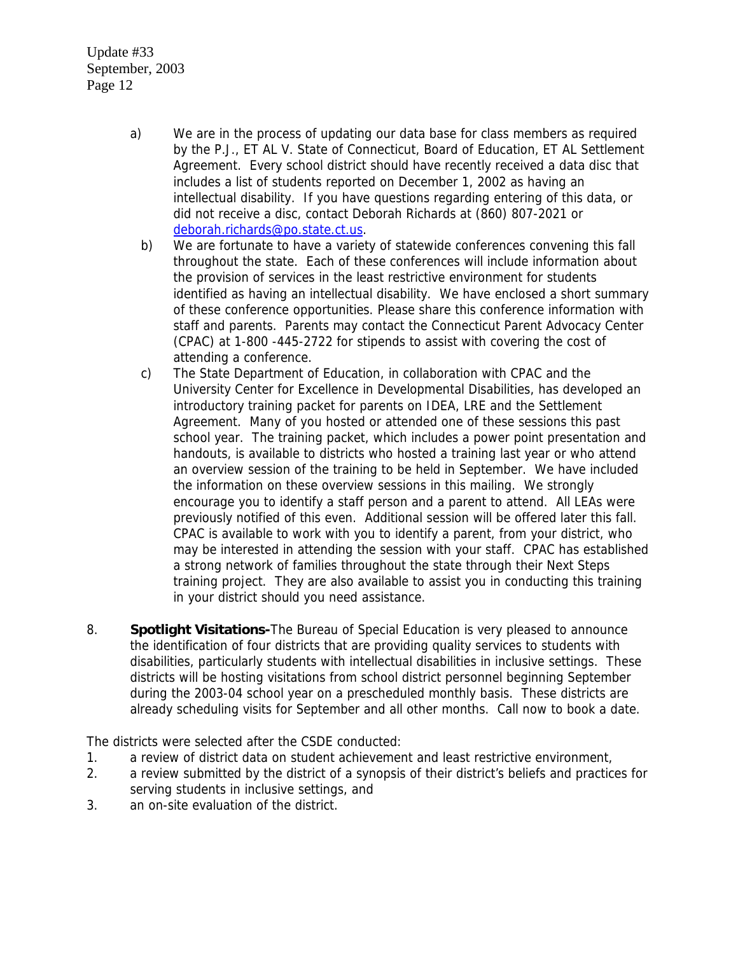- a) We are in the process of updating our data base for class members as required by the P.J., ET AL V. State of Connecticut, Board of Education, ET AL Settlement Agreement. Every school district should have recently received a data disc that includes a list of students reported on December 1, 2002 as having an intellectual disability. If you have questions regarding entering of this data, or did not receive a disc, contact Deborah Richards at (860) 807-2021 or [deborah.richards@po.state.ct.us](mailto:deborah.richards@po.state.ct.us).
	- b) We are fortunate to have a variety of statewide conferences convening this fall throughout the state. Each of these conferences will include information about the provision of services in the least restrictive environment for students identified as having an intellectual disability. We have enclosed a short summary of these conference opportunities. Please share this conference information with staff and parents. Parents may contact the Connecticut Parent Advocacy Center (CPAC) at 1-800 -445-2722 for stipends to assist with covering the cost of attending a conference.
	- c) The State Department of Education, in collaboration with CPAC and the University Center for Excellence in Developmental Disabilities, has developed an introductory training packet for parents on IDEA, LRE and the Settlement Agreement. Many of you hosted or attended one of these sessions this past school year. The training packet, which includes a power point presentation and handouts, is available to districts who hosted a training last year or who attend an overview session of the training to be held in September. We have included the information on these overview sessions in this mailing. We strongly encourage you to identify a staff person and a parent to attend. All LEAs were previously notified of this even. Additional session will be offered later this fall. CPAC is available to work with you to identify a parent, from your district, who may be interested in attending the session with your staff. CPAC has established a strong network of families throughout the state through their Next Steps training project. They are also available to assist you in conducting this training in your district should you need assistance.
- 8. **Spotlight Visitations-**The Bureau of Special Education is very pleased to announce the identification of four districts that are providing quality services to students with disabilities, particularly students with intellectual disabilities in inclusive settings. These districts will be hosting visitations from school district personnel beginning September during the 2003-04 school year on a prescheduled monthly basis. These districts are already scheduling visits for September and all other months. Call now to book a date.

The districts were selected after the CSDE conducted:

- 1. a review of district data on student achievement and least restrictive environment,
- 2. a review submitted by the district of a synopsis of their district's beliefs and practices for serving students in inclusive settings, and
- 3. an on-site evaluation of the district.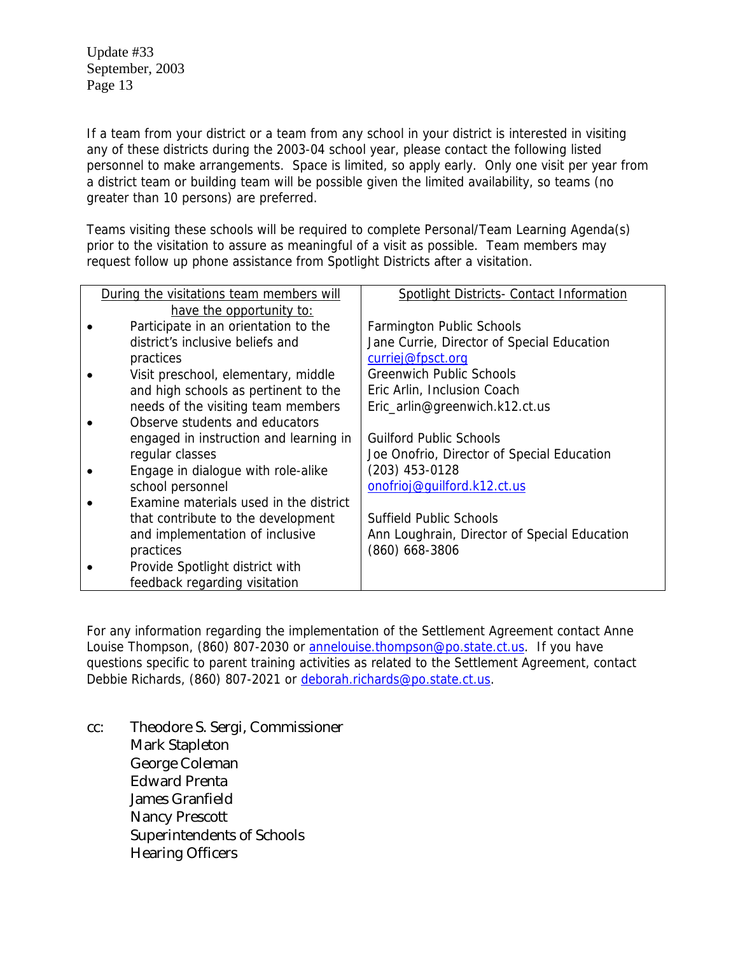If a team from your district or a team from any school in your district is interested in visiting any of these districts during the 2003-04 school year, please contact the following listed personnel to make arrangements. Space is limited, so apply early. Only one visit per year from a district team or building team will be possible given the limited availability, so teams (no greater than 10 persons) are preferred.

Teams visiting these schools will be required to complete Personal/Team Learning Agenda(s) prior to the visitation to assure as meaningful of a visit as possible. Team members may request follow up phone assistance from Spotlight Districts after a visitation.

| During the visitations team members will | Spotlight Districts- Contact Information     |  |  |  |  |
|------------------------------------------|----------------------------------------------|--|--|--|--|
| have the opportunity to:                 |                                              |  |  |  |  |
| Participate in an orientation to the     | <b>Farmington Public Schools</b>             |  |  |  |  |
| district's inclusive beliefs and         | Jane Currie, Director of Special Education   |  |  |  |  |
| practices                                | curriej@fpsct.org                            |  |  |  |  |
| Visit preschool, elementary, middle      | <b>Greenwich Public Schools</b>              |  |  |  |  |
| and high schools as pertinent to the     | Eric Arlin, Inclusion Coach                  |  |  |  |  |
| needs of the visiting team members       | Eric_arlin@greenwich.k12.ct.us               |  |  |  |  |
| Observe students and educators           |                                              |  |  |  |  |
| engaged in instruction and learning in   | <b>Guilford Public Schools</b>               |  |  |  |  |
| regular classes                          | Joe Onofrio, Director of Special Education   |  |  |  |  |
| Engage in dialogue with role-alike       | $(203)$ 453-0128                             |  |  |  |  |
| school personnel                         | onofrioj@quilford.k12.ct.us                  |  |  |  |  |
| Examine materials used in the district   |                                              |  |  |  |  |
| that contribute to the development       | <b>Suffield Public Schools</b>               |  |  |  |  |
| and implementation of inclusive          | Ann Loughrain, Director of Special Education |  |  |  |  |
| practices                                | $(860)$ 668-3806                             |  |  |  |  |
| Provide Spotlight district with          |                                              |  |  |  |  |
| feedback regarding visitation            |                                              |  |  |  |  |

For any information regarding the implementation of the Settlement Agreement contact Anne Louise Thompson, (860) 807-2030 or [annelouise.thompson@po.state.ct.us](mailto:annelouise.thompson@po.state.ct.us). If you have questions specific to parent training activities as related to the Settlement Agreement, contact Debbie Richards, (860) 807-2021 or [deborah.richards@po.state.ct.us](mailto:deborah.richards@po.state.ct.us).

cc: Theodore S. Sergi, Commissioner Mark Stapleton George Coleman Edward Prenta James Granfield Nancy Prescott Superintendents of Schools Hearing Officers